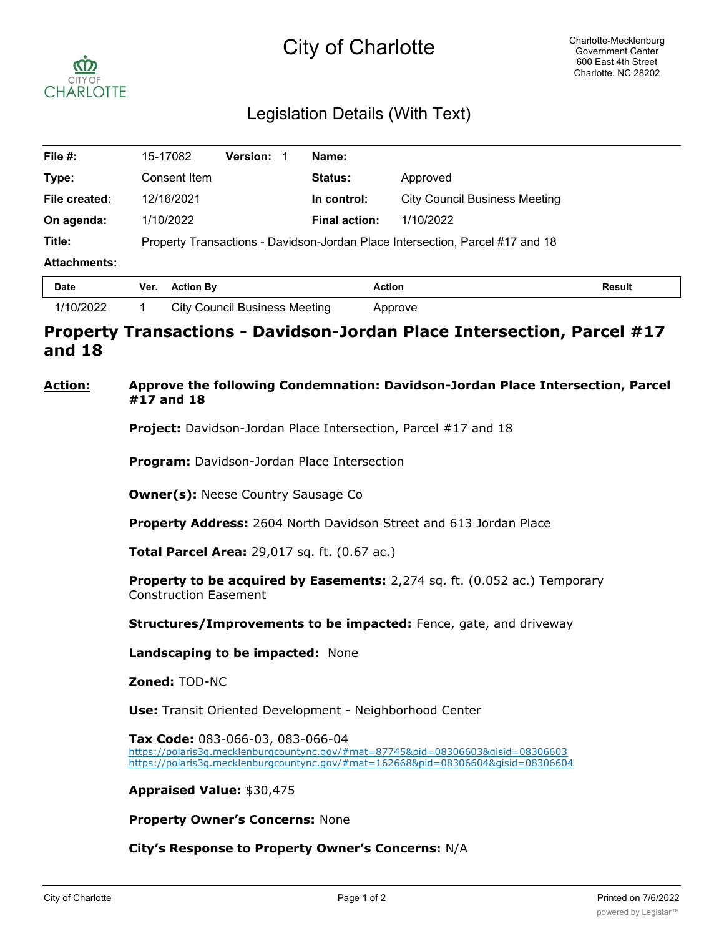# City of Charlotte



## Legislation Details (With Text)

| File #:             | 15-17082                                                                      | <b>Version:</b> | Name:                |                                      |               |  |  |  |
|---------------------|-------------------------------------------------------------------------------|-----------------|----------------------|--------------------------------------|---------------|--|--|--|
| Type:               | Consent Item                                                                  |                 | <b>Status:</b>       | Approved                             |               |  |  |  |
| File created:       | 12/16/2021                                                                    |                 | In control:          | <b>City Council Business Meeting</b> |               |  |  |  |
| On agenda:          | 1/10/2022                                                                     |                 | <b>Final action:</b> | 1/10/2022                            |               |  |  |  |
| Title:              | Property Transactions - Davidson-Jordan Place Intersection, Parcel #17 and 18 |                 |                      |                                      |               |  |  |  |
| <b>Attachments:</b> |                                                                               |                 |                      |                                      |               |  |  |  |
| <b>Date</b>         | <b>Action By</b><br>Ver.                                                      |                 |                      | <b>Action</b>                        | <b>Result</b> |  |  |  |

| Date    | ver. | ACUOILDV                             | ACUON<br>. | <b>kesun</b> |
|---------|------|--------------------------------------|------------|--------------|
| 10/2022 |      | <b>City Council Business Meeting</b> | oprove     |              |

## **Property Transactions - Davidson-Jordan Place Intersection, Parcel #17 and 18**

#### **Action: Approve the following Condemnation: Davidson-Jordan Place Intersection, Parcel #17 and 18**

**Project:** Davidson-Jordan Place Intersection, Parcel #17 and 18

**Program:** Davidson-Jordan Place Intersection

**Owner(s): Neese Country Sausage Co** 

**Property Address:** 2604 North Davidson Street and 613 Jordan Place

**Total Parcel Area:** 29,017 sq. ft. (0.67 ac.)

**Property to be acquired by Easements:** 2,274 sq. ft. (0.052 ac.) Temporary Construction Easement

**Structures/Improvements to be impacted:** Fence, gate, and driveway

**Landscaping to be impacted:** None

**Zoned:** TOD-NC

**Use:** Transit Oriented Development - Neighborhood Center

**Tax Code:** 083-066-03, 083-066-04 https://polaris3g.mecklenburgcountync.gov/#mat=87745&pid=08306603&gisid=08306603 https://polaris3g.mecklenburgcountync.gov/#mat=162668&pid=08306604&gisid=08306604

**Appraised Value:** \$30,475

**Property Owner's Concerns:** None

#### **City's Response to Property Owner's Concerns:** N/A